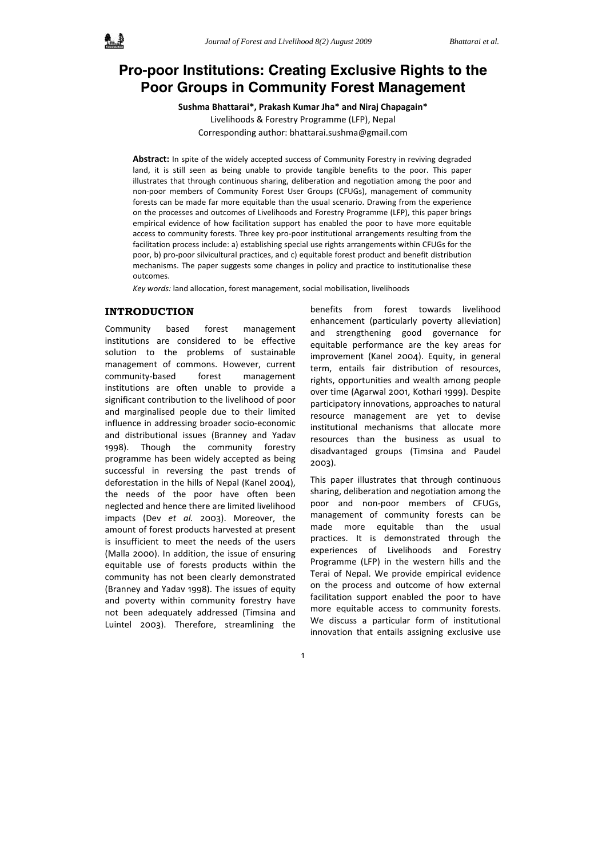# **Pro-poor Institutions: Creating Exclusive Rights to the Poor Groups in Community Forest Management**

**Sushma Bhattarai\*, Prakash Kumar Jha\* and Niraj Chapagain\***  Livelihoods & Forestry Programme (LFP), Nepal Corresponding author: bhattarai.sushma@gmail.com

**Abstract:** In spite of the widely accepted success of Community Forestry in reviving degraded land, it is still seen as being unable to provide tangible benefits to the poor. This paper illustrates that through continuous sharing, deliberation and negotiation among the poor and non‐poor members of Community Forest User Groups (CFUGs), management of community forests can be made far more equitable than the usual scenario. Drawing from the experience on the processes and outcomes of Livelihoods and Forestry Programme (LFP), this paper brings empirical evidence of how facilitation support has enabled the poor to have more equitable access to community forests. Three key pro‐poor institutional arrangements resulting from the facilitation process include: a) establishing special use rights arrangements within CFUGs for the poor, b) pro-poor silvicultural practices, and c) equitable forest product and benefit distribution mechanisms. The paper suggests some changes in policy and practice to institutionalise these outcomes.

*Key words:* land allocation, forest management, social mobilisation, livelihoods

# **INTRODUCTION**

Community based forest management institutions are considered to be effective solution to the problems of sustainable management of commons. However, current community‐based forest management institutions are often unable to provide a significant contribution to the livelihood of poor and marginalised people due to their limited influence in addressing broader socio‐economic and distributional issues (Branney and Yadav 1998). Though the community forestry programme has been widely accepted as being successful in reversing the past trends of deforestation in the hills of Nepal (Kanel 2004), the needs of the poor have often been neglected and hence there are limited livelihood impacts (Dev *et al.* 2003). Moreover, the amount of forest products harvested at present is insufficient to meet the needs of the users (Malla 2000). In addition, the issue of ensuring equitable use of forests products within the community has not been clearly demonstrated (Branney and Yadav 1998). The issues of equity and poverty within community forestry have not been adequately addressed (Timsina and Luintel 2003). Therefore, streamlining the

benefits from forest towards livelihood enhancement (particularly poverty alleviation) and strengthening good governance for equitable performance are the key areas for improvement (Kanel 2004). Equity, in general term, entails fair distribution of resources, rights, opportunities and wealth among people over time (Agarwal 2001, Kothari 1999). Despite participatory innovations, approaches to natural resource management are yet to devise institutional mechanisms that allocate more resources than the business as usual to disadvantaged groups (Timsina and Paudel 2003).

This paper illustrates that through continuous sharing, deliberation and negotiation among the poor and non‐poor members of CFUGs, management of community forests can be made more equitable than the usual practices. It is demonstrated through the experiences of Livelihoods and Forestry Programme (LFP) in the western hills and the Terai of Nepal. We provide empirical evidence on the process and outcome of how external facilitation support enabled the poor to have more equitable access to community forests. We discuss a particular form of institutional innovation that entails assigning exclusive use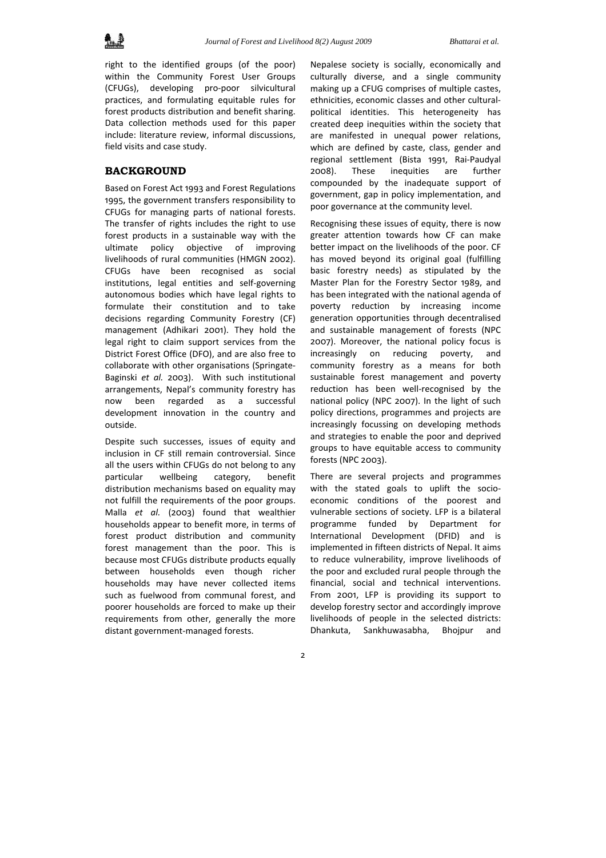

right to the identified groups (of the poor) within the Community Forest User Groups (CFUGs), developing pro‐poor silvicultural practices, and formulating equitable rules for forest products distribution and benefit sharing. Data collection methods used for this paper include: literature review, informal discussions, field visits and case study.

## **BACKGROUND**

Based on Forest Act 1993 and Forest Regulations 1995, the government transfers responsibility to CFUGs for managing parts of national forests. The transfer of rights includes the right to use forest products in a sustainable way with the ultimate policy objective of improving livelihoods of rural communities (HMGN 2002). CFUGs have been recognised as social institutions, legal entities and self‐governing autonomous bodies which have legal rights to formulate their constitution and to take decisions regarding Community Forestry (CF) management (Adhikari 2001). They hold the legal right to claim support services from the District Forest Office (DFO), and are also free to collaborate with other organisations (Springate‐ Baginski *et al.* 2003). With such institutional arrangements, Nepal's community forestry has now been regarded as a successful development innovation in the country and outside.

Despite such successes, issues of equity and inclusion in CF still remain controversial. Since all the users within CFUGs do not belong to any particular wellbeing category, benefit distribution mechanisms based on equality may not fulfill the requirements of the poor groups. Malla *et al.* (2003) found that wealthier households appear to benefit more, in terms of forest product distribution and community forest management than the poor. This is because most CFUGs distribute products equally between households even though richer households may have never collected items such as fuelwood from communal forest, and poorer households are forced to make up their requirements from other, generally the more distant government‐managed forests.

Nepalese society is socially, economically and culturally diverse, and a single community making up a CFUG comprises of multiple castes, ethnicities, economic classes and other cultural‐ political identities. This heterogeneity has created deep inequities within the society that are manifested in unequal power relations, which are defined by caste, class, gender and regional settlement (Bista 1991, Rai‐Paudyal 2008). These inequities are further compounded by the inadequate support of government, gap in policy implementation, and poor governance at the community level.

Recognising these issues of equity, there is now greater attention towards how CF can make better impact on the livelihoods of the poor. CF has moved beyond its original goal (fulfilling basic forestry needs) as stipulated by the Master Plan for the Forestry Sector 1989, and has been integrated with the national agenda of poverty reduction by increasing income generation opportunities through decentralised and sustainable management of forests (NPC 2007). Moreover, the national policy focus is increasingly on reducing poverty, and community forestry as a means for both sustainable forest management and poverty reduction has been well‐recognised by the national policy (NPC 2007). In the light of such policy directions, programmes and projects are increasingly focussing on developing methods and strategies to enable the poor and deprived groups to have equitable access to community forests (NPC 2003).

There are several projects and programmes with the stated goals to uplift the socioeconomic conditions of the poorest and vulnerable sections of society. LFP is a bilateral programme funded by Department for International Development (DFID) and is implemented in fifteen districts of Nepal. It aims to reduce vulnerability, improve livelihoods of the poor and excluded rural people through the financial, social and technical interventions. From 2001, LFP is providing its support to develop forestry sector and accordingly improve livelihoods of people in the selected districts: Dhankuta, Sankhuwasabha, Bhojpur and

 $\overline{2}$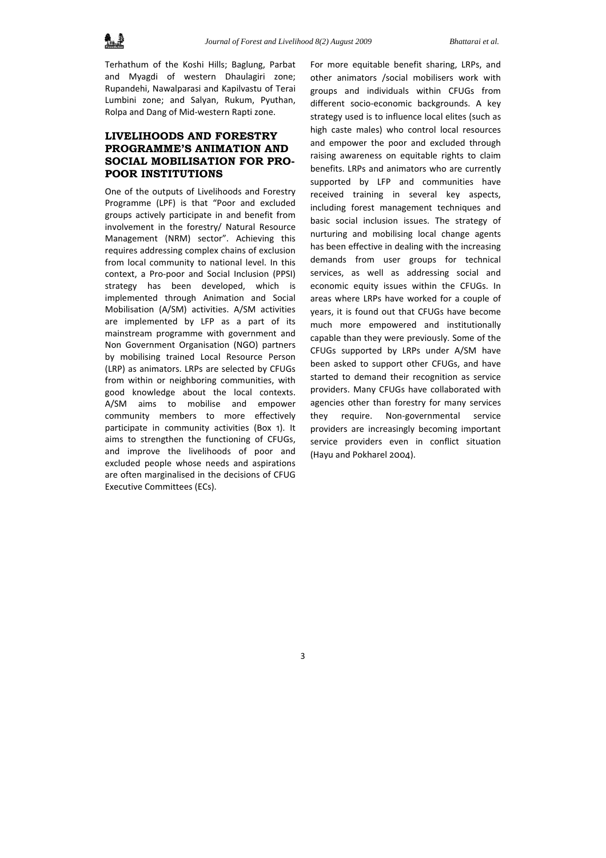

Terhathum of the Koshi Hills; Baglung, Parbat and Myagdi of western Dhaulagiri zone; Rupandehi, Nawalparasi and Kapilvastu of Terai Lumbini zone; and Salyan, Rukum, Pyuthan, Rolpa and Dang of Mid‐western Rapti zone.

# **LIVELIHOODS AND FORESTRY PROGRAMME'S ANIMATION AND SOCIAL MOBILISATION FOR PRO-POOR INSTITUTIONS**

One of the outputs of Livelihoods and Forestry Programme (LPF) is that "Poor and excluded groups actively participate in and benefit from involvement in the forestry/ Natural Resource Management (NRM) sector". Achieving this requires addressing complex chains of exclusion from local community to national level. In this context, a Pro‐poor and Social Inclusion (PPSI) strategy has been developed, which is implemented through Animation and Social Mobilisation (A/SM) activities. A/SM activities are implemented by LFP as a part of its mainstream programme with government and Non Government Organisation (NGO) partners by mobilising trained Local Resource Person (LRP) as animators. LRPs are selected by CFUGs from within or neighboring communities, with good knowledge about the local contexts. A/SM aims to mobilise and empower community members to more effectively participate in community activities (Box 1). It aims to strengthen the functioning of CFUGs, and improve the livelihoods of poor and excluded people whose needs and aspirations are often marginalised in the decisions of CFUG Executive Committees (ECs).

For more equitable benefit sharing, LRPs, and other animators /social mobilisers work with groups and individuals within CFUGs from different socio‐economic backgrounds. A key strategy used is to influence local elites (such as high caste males) who control local resources and empower the poor and excluded through raising awareness on equitable rights to claim benefits. LRPs and animators who are currently supported by LFP and communities have received training in several key aspects, including forest management techniques and basic social inclusion issues. The strategy of nurturing and mobilising local change agents has been effective in dealing with the increasing demands from user groups for technical services, as well as addressing social and economic equity issues within the CFUGs. In areas where LRPs have worked for a couple of years, it is found out that CFUGs have become much more empowered and institutionally capable than they were previously. Some of the CFUGs supported by LRPs under A/SM have been asked to support other CFUGs, and have started to demand their recognition as service providers. Many CFUGs have collaborated with agencies other than forestry for many services they require. Non‐governmental service providers are increasingly becoming important service providers even in conflict situation (Hayu and Pokharel 2004).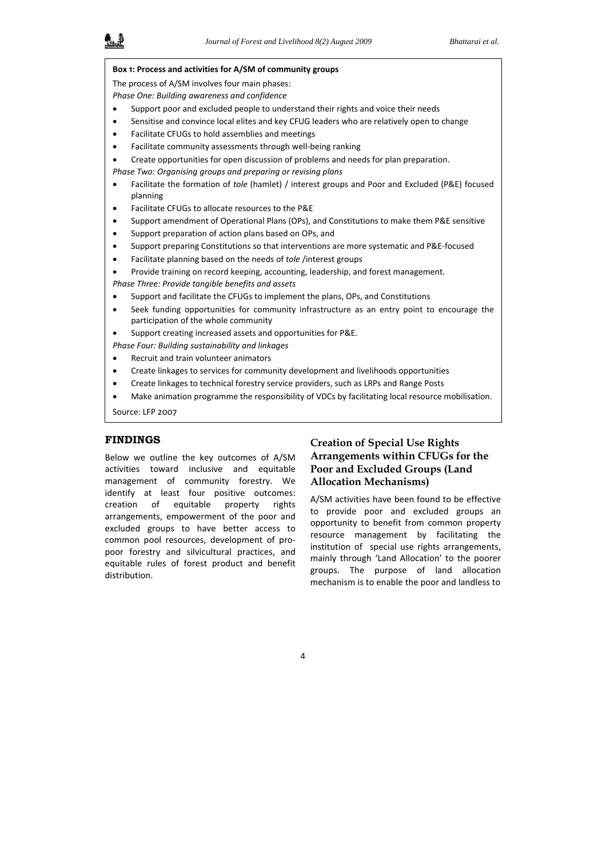| Box 1: Process and activities for A/SM of community groups                                                                         |
|------------------------------------------------------------------------------------------------------------------------------------|
| The process of A/SM involves four main phases:                                                                                     |
| Phase One: Building awareness and confidence                                                                                       |
| Support poor and excluded people to understand their rights and voice their needs                                                  |
| Sensitise and convince local elites and key CFUG leaders who are relatively open to change                                         |
| Facilitate CFUGs to hold assemblies and meetings                                                                                   |
| Facilitate community assessments through well-being ranking                                                                        |
| Create opportunities for open discussion of problems and needs for plan preparation.                                               |
| Phase Two: Organising groups and preparing or revising plans                                                                       |
| Facilitate the formation of tole (hamlet) / interest groups and Poor and Excluded (P&E) focused<br>planning                        |
| Facilitate CFUGs to allocate resources to the P&E                                                                                  |
| Support amendment of Operational Plans (OPs), and Constitutions to make them P&E sensitive                                         |
| Support preparation of action plans based on OPs, and                                                                              |
| Support preparing Constitutions so that interventions are more systematic and P&E-focused                                          |
| Facilitate planning based on the needs of tole /interest groups                                                                    |
| Provide training on record keeping, accounting, leadership, and forest management.                                                 |
| Phase Three: Provide tangible benefits and assets                                                                                  |
| Support and facilitate the CFUGs to implement the plans, OPs, and Constitutions                                                    |
| Seek funding opportunities for community infrastructure as an entry point to encourage the<br>participation of the whole community |
| Support creating increased assets and opportunities for P&E.                                                                       |
| Phase Four: Building sustainability and linkages                                                                                   |
| Recruit and train volunteer animators                                                                                              |
| Create linkages to services for community development and livelihoods opportunities                                                |
| Create linkages to technical forestry service providers, such as LRPs and Range Posts                                              |
| Make animation programme the responsibility of VDCs by facilitating local resource mobilisation.                                   |
| Source: LFP 2007                                                                                                                   |
|                                                                                                                                    |
| NDINGS<br>$\sim$ $\sim$ $\sim$<br>$\cdot$ $\cdot$ $\cdot$ $\cdot$<br>$\sim$ $\sim$ $\sim$ $\sim$<br>n.                             |

**FINDINGS** 

Below we outline the key outcomes of A/SM activities toward inclusive and equitable management of community forestry. We identify at least four positive outcomes: creation of equitable property rights arrangements, empowerment of the poor and excluded groups to have better access to common pool resources, development of pro‐ poor forestry and silvicultural practices, and equitable rules of forest product and benefit distribution.

# **Creation of Special Use Rights Arrangements within CFUGs for the Poor and Excluded Groups (Land Allocation Mechanisms)**

A/SM activities have been found to be effective to provide poor and excluded groups an opportunity to benefit from common property resource management by facilitating the institution of special use rights arrangements, mainly through 'Land Allocation' to the poorer groups. The purpose of land allocation mechanism is to enable the poor and landless to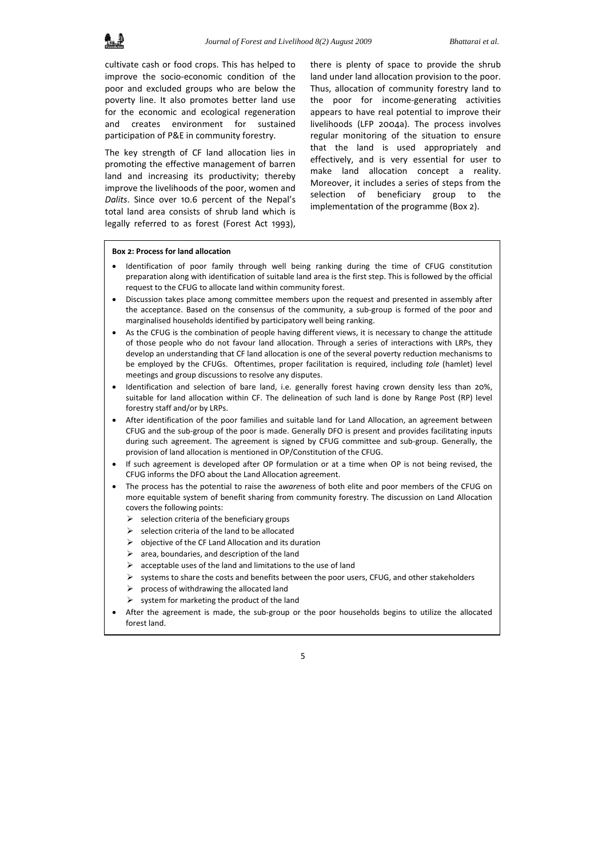cultivate cash or food crops. This has helped to improve the socio‐economic condition of the poor and excluded groups who are below the poverty line. It also promotes better land use for the economic and ecological regeneration and creates environment for sustained participation of P&E in community forestry.

The key strength of CF land allocation lies in promoting the effective management of barren land and increasing its productivity; thereby improve the livelihoods of the poor, women and *Dalits*. Since over 10.6 percent of the Nepal's total land area consists of shrub land which is legally referred to as forest (Forest Act 1993),

there is plenty of space to provide the shrub land under land allocation provision to the poor. Thus, allocation of community forestry land to the poor for income‐generating activities appears to have real potential to improve their livelihoods (LFP 2004a). The process involves regular monitoring of the situation to ensure that the land is used appropriately and effectively, and is very essential for user to make land allocation concept a reality. Moreover, it includes a series of steps from the selection of beneficiary group to the implementation of the programme (Box 2).

#### **Box 2: Process for land allocation**

- Identification of poor family through well being ranking during the time of CFUG constitution preparation along with identification of suitable land area is the first step. This is followed by the official request to the CFUG to allocate land within community forest.
- Discussion takes place among committee members upon the request and presented in assembly after the acceptance. Based on the consensus of the community, a sub‐group is formed of the poor and marginalised households identified by participatory well being ranking.
- As the CFUG is the combination of people having different views, it is necessary to change the attitude of those people who do not favour land allocation. Through a series of interactions with LRPs, they develop an understanding that CF land allocation is one of the several poverty reduction mechanisms to be employed by the CFUGs. Oftentimes, proper facilitation is required, including *tole* (hamlet) level meetings and group discussions to resolve any disputes.
- Identification and selection of bare land, i.e. generally forest having crown density less than 20%. suitable for land allocation within CF. The delineation of such land is done by Range Post (RP) level forestry staff and/or by LRPs.
- After identification of the poor families and suitable land for Land Allocation, an agreement between CFUG and the sub‐group of the poor is made. Generally DFO is present and provides facilitating inputs during such agreement. The agreement is signed by CFUG committee and sub‐group. Generally, the provision of land allocation is mentioned in OP/Constitution of the CFUG.
- If such agreement is developed after OP formulation or at a time when OP is not being revised, the CFUG informs the DFO about the Land Allocation agreement.
- The process has the potential to raise the a*ware*ness of both elite and poor members of the CFUG on more equitable system of benefit sharing from community forestry. The discussion on Land Allocation covers the following points:
	- $\triangleright$  selection criteria of the beneficiary groups
	- $\triangleright$  selection criteria of the land to be allocated
	- $\triangleright$  objective of the CF Land Allocation and its duration
	- $\triangleright$  area, boundaries, and description of the land
	- $\triangleright$  acceptable uses of the land and limitations to the use of land
	- $\triangleright$  systems to share the costs and benefits between the poor users. CFUG, and other stakeholders
	- process of withdrawing the allocated land
	- system for marketing the product of the land
- After the agreement is made, the sub‐group or the poor households begins to utilize the allocated forest land.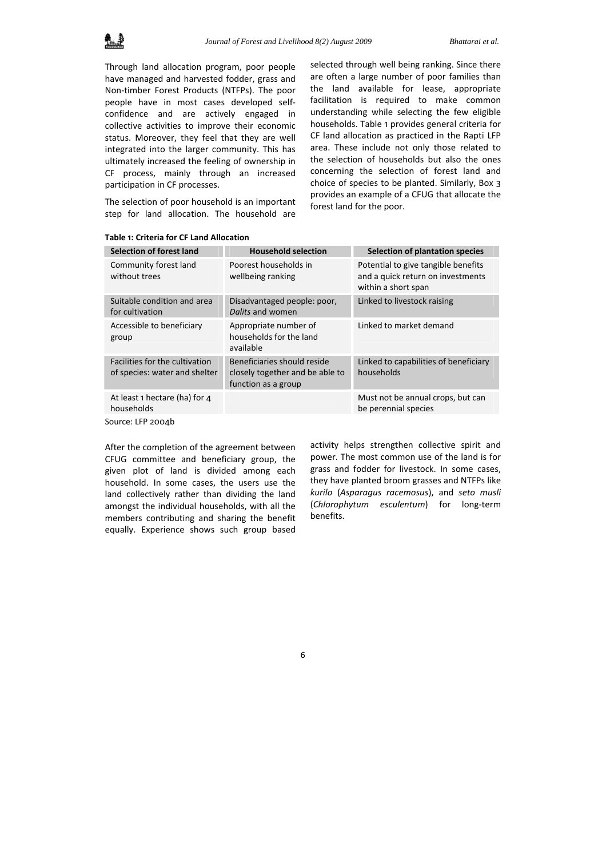

Through land allocation program, poor people have managed and harvested fodder, grass and Non‐timber Forest Products (NTFPs). The poor people have in most cases developed self‐ confidence and are actively engaged in collective activities to improve their economic status. Moreover, they feel that they are well integrated into the larger community. This has ultimately increased the feeling of ownership in CF process, mainly through an increased participation in CF processes.

The selection of poor household is an important step for land allocation. The household are

selected through well being ranking. Since there are often a large number of poor families than the land available for lease, appropriate facilitation is required to make common understanding while selecting the few eligible households. Table 1 provides general criteria for CF land allocation as practiced in the Rapti LFP area. These include not only those related to the selection of households but also the ones concerning the selection of forest land and choice of species to be planted. Similarly, Box 3 provides an example of a CFUG that allocate the forest land for the poor.

| <b>Selection of forest land</b>                                 | <b>Household selection</b>                                                            | Selection of plantation species                                                                 |
|-----------------------------------------------------------------|---------------------------------------------------------------------------------------|-------------------------------------------------------------------------------------------------|
| Community forest land<br>without trees                          | Poorest households in<br>wellbeing ranking                                            | Potential to give tangible benefits<br>and a quick return on investments<br>within a short span |
| Suitable condition and area<br>for cultivation                  | Disadvantaged people: poor,<br>Dalits and women                                       | Linked to livestock raising                                                                     |
| Accessible to beneficiary<br>group                              | Appropriate number of<br>households for the land<br>available                         | Linked to market demand                                                                         |
| Facilities for the cultivation<br>of species: water and shelter | Beneficiaries should reside<br>closely together and be able to<br>function as a group | Linked to capabilities of beneficiary<br>households                                             |
| At least 1 hectare (ha) for 4<br>households                     |                                                                                       | Must not be annual crops, but can<br>be perennial species                                       |
| Source: LFP 2004b                                               |                                                                                       |                                                                                                 |

#### **Table 1: Criteria for CF Land Allocation**

After the completion of the agreement between CFUG committee and beneficiary group, the given plot of land is divided among each household. In some cases, the users use the land collectively rather than dividing the land amongst the individual households, with all the members contributing and sharing the benefit equally. Experience shows such group based

activity helps strengthen collective spirit and power. The most common use of the land is for grass and fodder for livestock. In some cases, they have planted broom grasses and NTFPs like *kurilo* (*Asparagus racemosus*), and *seto musli* (*Chlorophytum esculentum*) for long‐term benefits.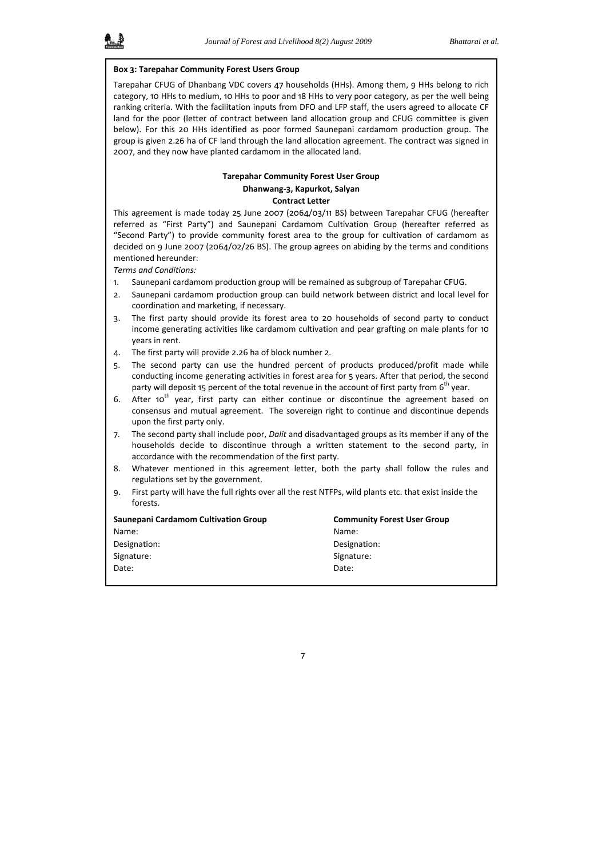#### **Box 3: Tarepahar Community Forest Users Group**

Tarepahar CFUG of Dhanbang VDC covers 47 households (HHs). Among them, 9 HHs belong to rich category, 10 HHs to medium, 10 HHs to poor and 18 HHs to very poor category, as per the well being ranking criteria. With the facilitation inputs from DFO and LFP staff, the users agreed to allocate CF land for the poor (letter of contract between land allocation group and CFUG committee is given below). For this 20 HHs identified as poor formed Saunepani cardamom production group. The group is given 2.26 ha of CF land through the land allocation agreement. The contract was signed in 2007, and they now have planted cardamom in the allocated land.

### **Tarepahar Community Forest User Group Dhanwang‐3, Kapurkot, Salyan Contract Letter**

This agreement is made today 25 June 2007 (2064/03/11 BS) between Tarepahar CFUG (hereafter referred as "First Party") and Saunepani Cardamom Cultivation Group (hereafter referred as "Second Party") to provide community forest area to the group for cultivation of cardamom as decided on 9 June 2007 (2064/02/26 BS). The group agrees on abiding by the terms and conditions mentioned hereunder:

*Terms and Conditions:*

- 1. Saunepani cardamom production group will be remained as subgroup of Tarepahar CFUG.
- 2. Saunepani cardamom production group can build network between district and local level for coordination and marketing, if necessary.
- 3. The first party should provide its forest area to 20 households of second party to conduct income generating activities like cardamom cultivation and pear grafting on male plants for 10 years in rent.
- 4. The first party will provide 2.26 ha of block number 2.
- 5. The second party can use the hundred percent of products produced/profit made while conducting income generating activities in forest area for 5 years. After that period, the second party will deposit 15 percent of the total revenue in the account of first party from 6<sup>th</sup> year.
- 6. After 10<sup>th</sup> year, first party can either continue or discontinue the agreement based on consensus and mutual agreement. The sovereign right to continue and discontinue depends upon the first party only.
- 7. The second party shall include poor, *Dalit* and disadvantaged groups as its member if any of the households decide to discontinue through a written statement to the second party, in accordance with the recommendation of the first party.
- 8. Whatever mentioned in this agreement letter, both the party shall follow the rules and regulations set by the government.
- 9. First party will have the full rights over all the rest NTFPs, wild plants etc. that exist inside the forests.

| Saunepani Cardamom Cultivation Group | <b>Community Forest User Group</b> |
|--------------------------------------|------------------------------------|
| Name:                                | Name:                              |
| Designation:                         | Designation:                       |
| Signature:                           | Signature:                         |
| Date:                                | Date:                              |
|                                      |                                    |

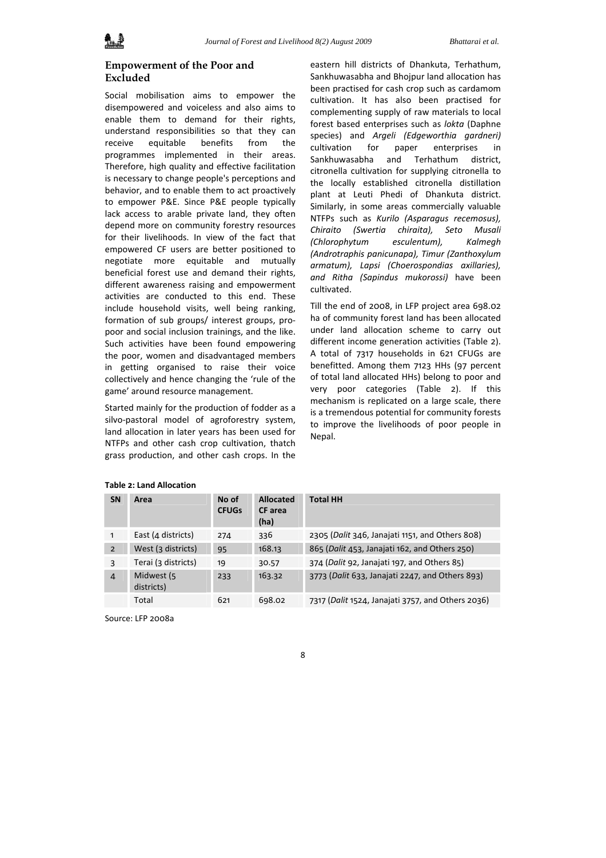# **Empowerment of the Poor and Excluded**

Social mobilisation aims to empower the disempowered and voiceless and also aims to enable them to demand for their rights, understand responsibilities so that they can receive equitable benefits from the programmes implemented in their areas. Therefore, high quality and effective facilitation is necessary to change people's perceptions and behavior, and to enable them to act proactively to empower P&E. Since P&E people typically lack access to arable private land, they often depend more on community forestry resources for their livelihoods. In view of the fact that empowered CF users are better positioned to negotiate more equitable and mutually beneficial forest use and demand their rights, different awareness raising and empowerment activities are conducted to this end. These include household visits, well being ranking, formation of sub groups/ interest groups, pro‐ poor and social inclusion trainings, and the like. Such activities have been found empowering the poor, women and disadvantaged members in getting organised to raise their voice collectively and hence changing the 'rule of the game' around resource management.

Started mainly for the production of fodder as a silvo-pastoral model of agroforestry system, land allocation in later years has been used for NTFPs and other cash crop cultivation, thatch grass production, and other cash crops. In the

eastern hill districts of Dhankuta, Terhathum, Sankhuwasabha and Bhojpur land allocation has been practised for cash crop such as cardamom cultivation. It has also been practised for complementing supply of raw materials to local forest based enterprises such as *lokta* (Daphne species) and *Argeli (Edgeworthia gardneri)* cultivation for paper enterprises in Sankhuwasabha and Terhathum district, citronella cultivation for supplying citronella to the locally established citronella distillation plant at Leuti Phedi of Dhankuta district. Similarly, in some areas commercially valuable NTFPs such as *Kurilo (Asparagus recemosus), Chiraito (Swertia chiraita), Seto Musali (Chlorophytum esculentum), Kalmegh (Androtraphis panicunapa), Timur (Zanthoxylum armatum), Lapsi (Choerospondias axillaries), and Ritha (Sapindus mukorossi)* have been cultivated.

Till the end of 2008, in LFP project area 698.02 ha of community forest land has been allocated under land allocation scheme to carry out different income generation activities (Table 2). A total of 7317 households in 621 CFUGs are benefitted. Among them 7123 HHs (97 percent of total land allocated HHs) belong to poor and very poor categories (Table 2). If this mechanism is replicated on a large scale, there is a tremendous potential for community forests to improve the livelihoods of poor people in Nepal.

| <b>SN</b>      | Area                     | No of<br><b>CFUGs</b> | <b>Allocated</b><br>CF area<br>(ha) | <b>Total HH</b>                                   |
|----------------|--------------------------|-----------------------|-------------------------------------|---------------------------------------------------|
| $\mathbf{1}$   | East (4 districts)       | 274                   | 336                                 | 2305 (Dalit 346, Janajati 1151, and Others 808)   |
| $\overline{2}$ | West (3 districts)       | 95                    | 168.13                              | 865 (Dalit 453, Janajati 162, and Others 250)     |
| 3              | Terai (3 districts)      | 19                    | 30.57                               | 374 (Dalit 92, Janajati 197, and Others 85)       |
| $\overline{4}$ | Midwest (5<br>districts) | 233                   | 163.32                              | 3773 (Dalit 633, Janajati 2247, and Others 893)   |
|                | Total                    | 621                   | 698.02                              | 7317 (Dalit 1524, Janajati 3757, and Others 2036) |

#### **Table 2: Land Allocation**

Source: LFP 2008a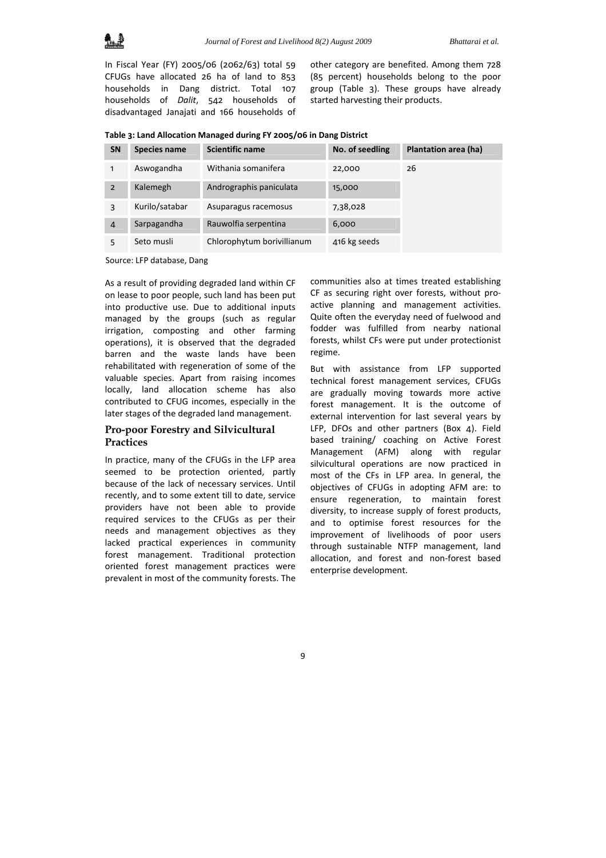In Fiscal Year (FY) 2005/06 (2062/63) total 59 CFUGs have allocated 26 ha of land to 853 households in Dang district. Total 107 households of *Dalit*, 542 households of disadvantaged Janajati and 166 households of

other category are benefited. Among them 728 (85 percent) households belong to the poor group (Table 3). These groups have already started harvesting their products.

|  |  | Table 3: Land Allocation Managed during FY 2005/06 in Dang District |
|--|--|---------------------------------------------------------------------|
|--|--|---------------------------------------------------------------------|

| <b>SN</b>      | <b>Species name</b> | <b>Scientific name</b>     | No. of seedling | Plantation area (ha) |
|----------------|---------------------|----------------------------|-----------------|----------------------|
| 1              | Aswogandha          | Withania somanifera        | 22,000          | 26                   |
| $\mathcal{P}$  | Kalemegh            | Andrographis paniculata    | 15,000          |                      |
| 3              | Kurilo/satabar      | Asuparagus racemosus       | 7,38,028        |                      |
| $\overline{4}$ | Sarpagandha         | Rauwolfia serpentina       | 6,000           |                      |
|                | Seto musli          | Chlorophytum borivillianum | 416 kg seeds    |                      |

Source: LFP database, Dang

As a result of providing degraded land within CF on lease to poor people, such land has been put into productive use. Due to additional inputs managed by the groups (such as regular irrigation, composting and other farming operations), it is observed that the degraded barren and the waste lands have been rehabilitated with regeneration of some of the valuable species. Apart from raising incomes locally, land allocation scheme has also contributed to CFUG incomes, especially in the later stages of the degraded land management.

# **Pro-poor Forestry and Silvicultural Practices**

In practice, many of the CFUGs in the LFP area seemed to be protection oriented, partly because of the lack of necessary services. Until recently, and to some extent till to date, service providers have not been able to provide required services to the CFUGs as per their needs and management objectives as they lacked practical experiences in community forest management. Traditional protection oriented forest management practices were prevalent in most of the community forests. The

communities also at times treated establishing CF as securing right over forests, without pro‐ active planning and management activities. Quite often the everyday need of fuelwood and fodder was fulfilled from nearby national forests, whilst CFs were put under protectionist regime.

But with assistance from LFP supported technical forest management services, CFUGs are gradually moving towards more active forest management. It is the outcome of external intervention for last several years by LFP, DFOs and other partners (Box 4). Field based training/ coaching on Active Forest Management (AFM) along with regular silvicultural operations are now practiced in most of the CFs in LFP area. In general, the objectives of CFUGs in adopting AFM are: to ensure regeneration, to maintain forest diversity, to increase supply of forest products, and to optimise forest resources for the improvement of livelihoods of poor users through sustainable NTFP management, land allocation, and forest and non‐forest based enterprise development.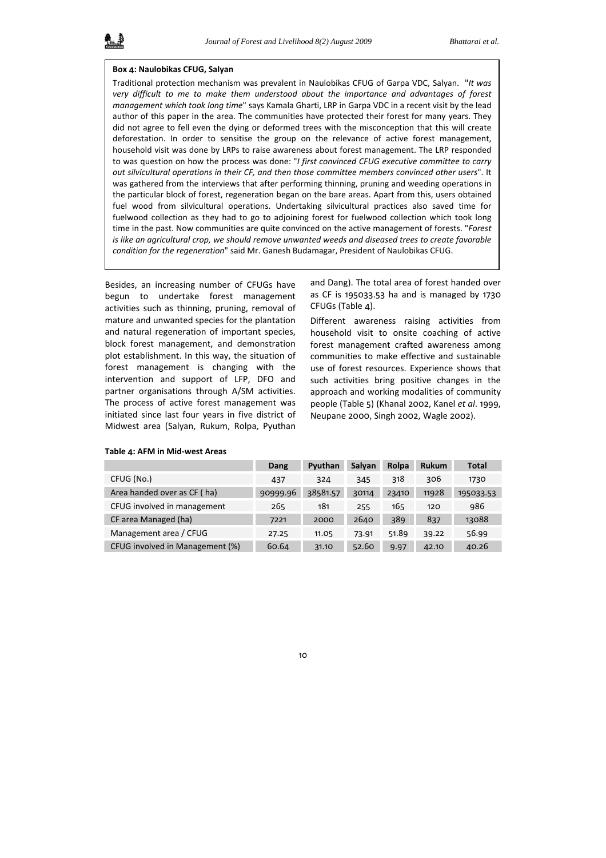#### **Box 4: Naulobikas CFUG, Salyan**

Traditional protection mechanism was prevalent in Naulobikas CFUG of Garpa VDC, Salyan. "*It was very difficult to me to make them understood about the importance and advantages of forest management which took long time*" says Kamala Gharti, LRP in Garpa VDC in a recent visit by the lead author of this paper in the area. The communities have protected their forest for many years. They did not agree to fell even the dying or deformed trees with the misconception that this will create deforestation. In order to sensitise the group on the relevance of active forest management, household visit was done by LRPs to raise awareness about forest management. The LRP responded to was question on how the process was done: "*I first convinced CFUG executive committee to carry out silvicultural operations in their CF, and then those committee members convinced other users*". It was gathered from the interviews that after performing thinning, pruning and weeding operations in the particular block of forest, regeneration began on the bare areas. Apart from this, users obtained fuel wood from silvicultural operations. Undertaking silvicultural practices also saved time for fuelwood collection as they had to go to adjoining forest for fuelwood collection which took long time in the past. Now communities are quite convinced on the active management of forests. "*Forest is like an agricultural crop, we should remove unwanted weeds and diseased trees to create favorable condition for the regeneration*" said Mr. Ganesh Budamagar, President of Naulobikas CFUG.

Besides, an increasing number of CFUGs have begun to undertake forest management activities such as thinning, pruning, removal of mature and unwanted species for the plantation and natural regeneration of important species, block forest management, and demonstration plot establishment. In this way, the situation of forest management is changing with the intervention and support of LFP, DFO and partner organisations through A/SM activities. The process of active forest management was initiated since last four years in five district of Midwest area (Salyan, Rukum, Rolpa, Pyuthan

and Dang). The total area of forest handed over as CF is 195033.53 ha and is managed by 1730 CFUGs (Table 4).

Different awareness raising activities from household visit to onsite coaching of active forest management crafted awareness among communities to make effective and sustainable use of forest resources. Experience shows that such activities bring positive changes in the approach and working modalities of community people (Table 5) (Khanal 2002, Kanel *et al*. 1999, Neupane 2000, Singh 2002, Wagle 2002).

|                                 | Dang     | Pyuthan  | Salvan | Rolpa | <b>Rukum</b> | <b>Total</b> |
|---------------------------------|----------|----------|--------|-------|--------------|--------------|
| CFUG (No.)                      | 437      | 324      | 345    | 318   | 306          | 1730         |
| Area handed over as CF (ha)     | 90999.96 | 38581.57 | 30114  | 23410 | 11928        | 195033.53    |
| CFUG involved in management     | 265      | 181      | 255    | 165   | 120          | 986          |
| CF area Managed (ha)            | 7221     | 2000     | 2640   | 389   | 837          | 13088        |
| Management area / CFUG          | 27.25    | 11.05    | 73.91  | 51.89 | 39.22        | 56.99        |
| CFUG involved in Management (%) | 60.64    | 31.10    | 52.60  | 9.97  | 42.10        | 40.26        |

#### **Table 4: AFM in Mid‐west Areas**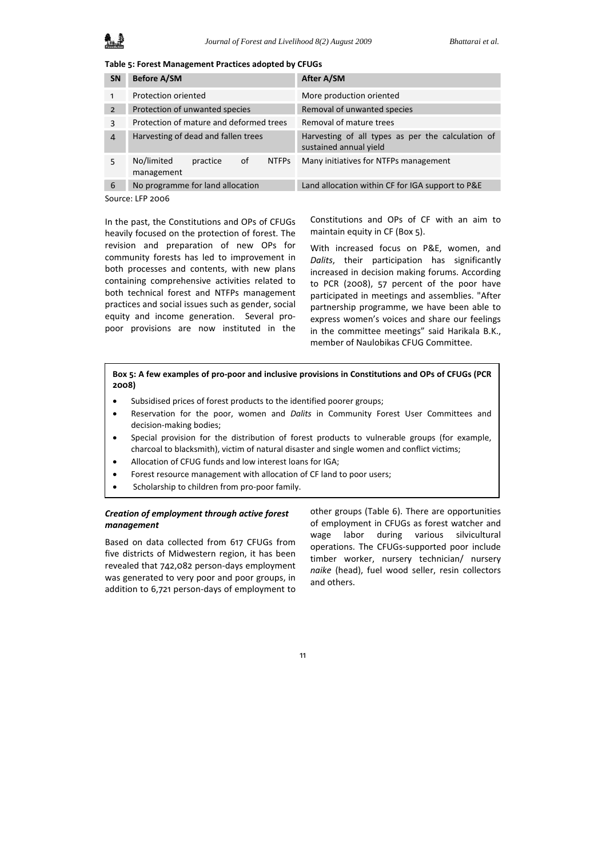**Table 5: Forest Management Practices adopted by CFUGs**

| <b>SN</b>      | <b>Before A/SM</b>                                         | After A/SM                                                                  |  |  |  |
|----------------|------------------------------------------------------------|-----------------------------------------------------------------------------|--|--|--|
| 1              | Protection oriented                                        | More production oriented                                                    |  |  |  |
| $\overline{2}$ | Protection of unwanted species                             | Removal of unwanted species                                                 |  |  |  |
| 3              | Protection of mature and deformed trees                    | Removal of mature trees                                                     |  |  |  |
| $\overline{4}$ | Harvesting of dead and fallen trees                        | Harvesting of all types as per the calculation of<br>sustained annual yield |  |  |  |
| 5              | No/limited<br>0f<br><b>NTFPs</b><br>practice<br>management | Many initiatives for NTFPs management                                       |  |  |  |
| 6              | No programme for land allocation                           | Land allocation within CF for IGA support to P&E                            |  |  |  |
|                | Cayto01EDQOP                                               |                                                                             |  |  |  |

Source: LFP 2006

In the past, the Constitutions and OPs of CFUGs heavily focused on the protection of forest. The revision and preparation of new OPs for community forests has led to improvement in both processes and contents, with new plans containing comprehensive activities related to both technical forest and NTFPs management practices and social issues such as gender, social equity and income generation. Several propoor provisions are now instituted in the

Constitutions and OPs of CF with an aim to maintain equity in CF (Box 5).

With increased focus on P&E, women, and *Dalits*, their participation has significantly increased in decision making forums. According to PCR (2008), 57 percent of the poor have participated in meetings and assemblies. "After partnership programme, we have been able to express women's voices and share our feelings in the committee meetings" said Harikala B.K., member of Naulobikas CFUG Committee.

Box 5: A few examples of pro-poor and inclusive provisions in Constitutions and OPs of CFUGs (PCR **2008)**

- Subsidised prices of forest products to the identified poorer groups;
- Reservation for the poor, women and *Dalits* in Community Forest User Committees and decision‐making bodies;
- Special provision for the distribution of forest products to vulnerable groups (for example, charcoal to blacksmith), victim of natural disaster and single women and conflict victims;
- Allocation of CFUG funds and low interest loans for IGA;
- Forest resource management with allocation of CF land to poor users;
- Scholarship to children from pro‐poor family.

### *Creation of employment through active forest management*

Based on data collected from 617 CFUGs from five districts of Midwestern region, it has been revealed that 742,082 person‐days employment was generated to very poor and poor groups, in addition to 6,721 person‐days of employment to

other groups (Table 6). There are opportunities of employment in CFUGs as forest watcher and wage labor during various silvicultural operations. The CFUGs‐supported poor include timber worker, nursery technician/ nursery *naike* (head), fuel wood seller, resin collectors and others.

11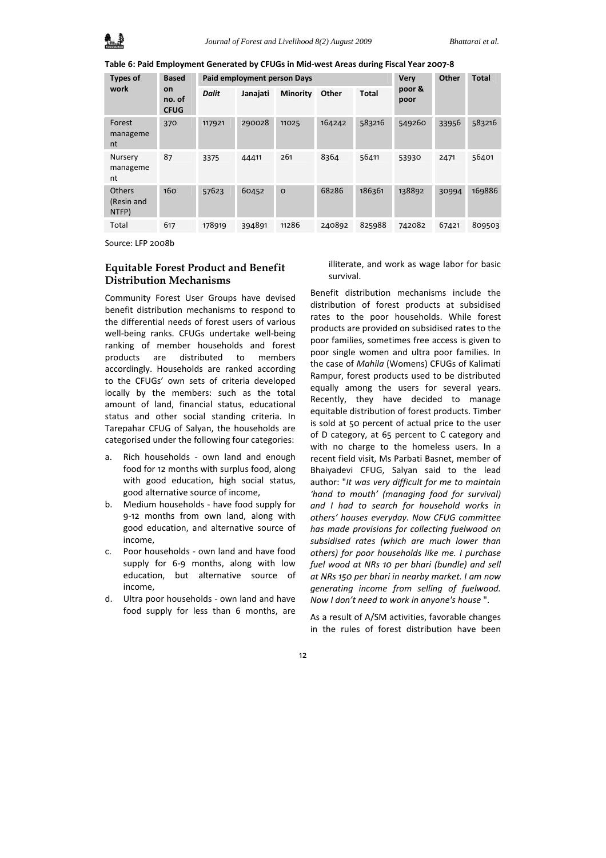**Table 6: Paid Employment Generated by CFUGs in Mid‐west Areas during Fiscal Year 2007‐8** 

| <b>Types of</b>               | <b>Based</b><br><b>on</b><br>no. of<br><b>CFUG</b> | Paid employment person Days |          |                 |        | <b>Very</b>  | <b>Other</b>   | <b>Total</b> |        |
|-------------------------------|----------------------------------------------------|-----------------------------|----------|-----------------|--------|--------------|----------------|--------------|--------|
| work                          |                                                    | <b>Dalit</b>                | Janajati | <b>Minority</b> | Other  | <b>Total</b> | poor &<br>poor |              |        |
| Forest<br>manageme<br>nt      | 370                                                | 117921                      | 290028   | 11025           | 164242 | 583216       | 549260         | 33956        | 583216 |
| Nursery<br>manageme<br>nt     | 87                                                 | 3375                        | 44411    | 261             | 8364   | 56411        | 53930          | 2471         | 56401  |
| Others<br>(Resin and<br>NTFP) | 160                                                | 57623                       | 60452    | $\circ$         | 68286  | 186361       | 138892         | 30994        | 169886 |
| Total                         | 617                                                | 178919                      | 394891   | 11286           | 240892 | 825988       | 742082         | 67421        | 809503 |

Source: LFP 2008b

## **Equitable Forest Product and Benefit Distribution Mechanisms**

Community Forest User Groups have devised benefit distribution mechanisms to respond to the differential needs of forest users of various well-being ranks. CFUGs undertake well-being ranking of member households and forest products are distributed to members accordingly. Households are ranked according to the CFUGs' own sets of criteria developed locally by the members: such as the total amount of land, financial status, educational status and other social standing criteria. In Tarepahar CFUG of Salyan, the households are categorised under the following four categories:

- a. Rich households own land and enough food for 12 months with surplus food, along with good education, high social status, good alternative source of income,
- b. Medium households ‐ have food supply for 9‐12 months from own land, along with good education, and alternative source of income,
- c. Poor households ‐ own land and have food supply for 6-9 months, along with low education, but alternative source of income,
- d. Ultra poor households ‐ own land and have food supply for less than 6 months, are

illiterate, and work as wage labor for basic survival.

Benefit distribution mechanisms include the distribution of forest products at subsidised rates to the poor households. While forest products are provided on subsidised rates to the poor families, sometimes free access is given to poor single women and ultra poor families. In the case of *Mahila* (Womens) CFUGs of Kalimati Rampur, forest products used to be distributed equally among the users for several years. Recently, they have decided to manage equitable distribution of forest products. Timber is sold at 50 percent of actual price to the user of D category, at 65 percent to C category and with no charge to the homeless users. In a recent field visit, Ms Parbati Basnet, member of Bhaiyadevi CFUG, Salyan said to the lead author: "*It was very difficult for me to maintain 'hand to mouth' (managing food for survival) and I had to search for household works in others' houses everyday. Now CFUG committee has made provisions for collecting fuelwood on subsidised rates (which are much lower than others) for poor households like me. I purchase fuel wood at NRs 10 per bhari (bundle) and sell at NRs 150 per bhari in nearby market. I am now generating income from selling of fuelwood. Now I don't need to work in anyone's house* ".

As a result of A/SM activities, favorable changes in the rules of forest distribution have been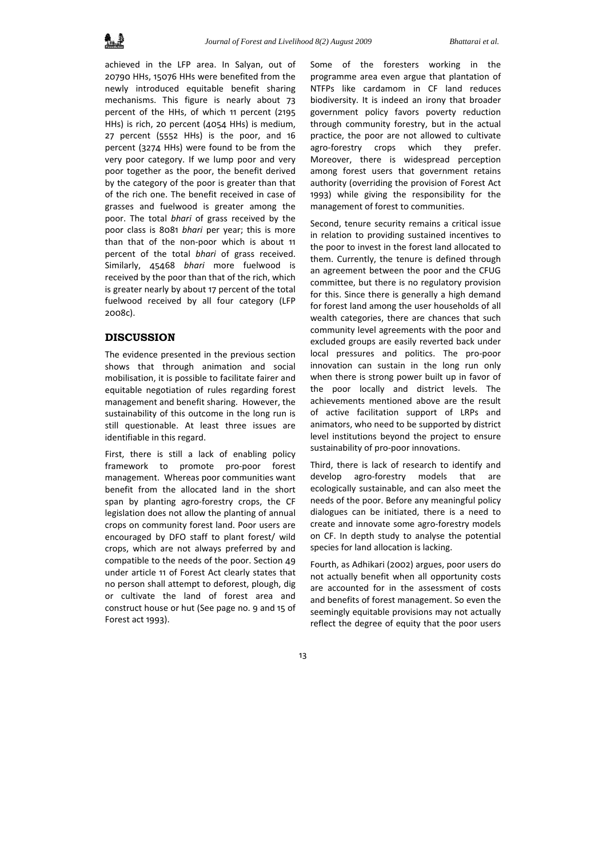achieved in the LFP area. In Salyan, out of 20790 HHs, 15076 HHs were benefited from the newly introduced equitable benefit sharing mechanisms. This figure is nearly about 73 percent of the HHs, of which 11 percent (2195 HHs) is rich, 20 percent (4054 HHs) is medium, 27 percent (5552 HHs) is the poor, and 16 percent (3274 HHs) were found to be from the very poor category. If we lump poor and very poor together as the poor, the benefit derived by the category of the poor is greater than that of the rich one. The benefit received in case of grasses and fuelwood is greater among the poor. The total *bhari* of grass received by the poor class is 8081 *bhari* per year; this is more than that of the non‐poor which is about 11 percent of the total *bhari* of grass received. Similarly, 45468 *bhari* more fuelwood is received by the poor than that of the rich, which is greater nearly by about 17 percent of the total fuelwood received by all four category (LFP 2008c).

### **DISCUSSION**

The evidence presented in the previous section shows that through animation and social mobilisation, it is possible to facilitate fairer and equitable negotiation of rules regarding forest management and benefit sharing. However, the sustainability of this outcome in the long run is still questionable. At least three issues are identifiable in this regard.

First, there is still a lack of enabling policy framework to promote pro‐poor forest management. Whereas poor communities want benefit from the allocated land in the short span by planting agro-forestry crops, the CF legislation does not allow the planting of annual crops on community forest land. Poor users are encouraged by DFO staff to plant forest/ wild crops, which are not always preferred by and compatible to the needs of the poor. Section 49 under article 11 of Forest Act clearly states that no person shall attempt to deforest, plough, dig or cultivate the land of forest area and construct house or hut (See page no. 9 and 15 of Forest act 1993).

Some of the foresters working in the programme area even argue that plantation of NTFPs like cardamom in CF land reduces biodiversity. It is indeed an irony that broader government policy favors poverty reduction through community forestry, but in the actual practice, the poor are not allowed to cultivate agro-forestry crops which they prefer. Moreover, there is widespread perception among forest users that government retains authority (overriding the provision of Forest Act 1993) while giving the responsibility for the management of forest to communities.

Second, tenure security remains a critical issue in relation to providing sustained incentives to the poor to invest in the forest land allocated to them. Currently, the tenure is defined through an agreement between the poor and the CFUG committee, but there is no regulatory provision for this. Since there is generally a high demand for forest land among the user households of all wealth categories, there are chances that such community level agreements with the poor and excluded groups are easily reverted back under local pressures and politics. The pro‐poor innovation can sustain in the long run only when there is strong power built up in favor of the poor locally and district levels. The achievements mentioned above are the result of active facilitation support of LRPs and animators, who need to be supported by district level institutions beyond the project to ensure sustainability of pro‐poor innovations.

Third, there is lack of research to identify and develop agro-forestry models that are ecologically sustainable, and can also meet the needs of the poor. Before any meaningful policy dialogues can be initiated, there is a need to create and innovate some agro-forestry models on CF. In depth study to analyse the potential species for land allocation is lacking.

Fourth, as Adhikari (2002) argues, poor users do not actually benefit when all opportunity costs are accounted for in the assessment of costs and benefits of forest management. So even the seemingly equitable provisions may not actually reflect the degree of equity that the poor users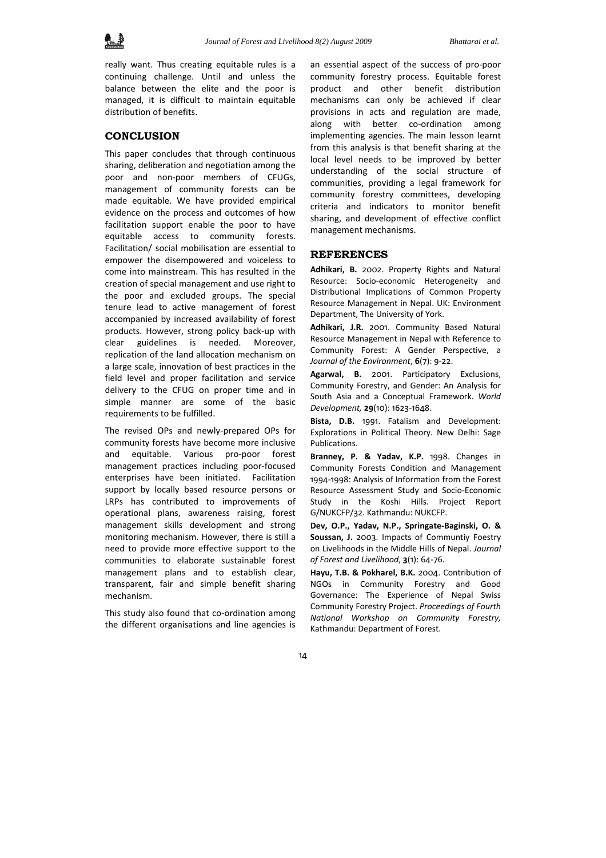

really want. Thus creating equitable rules is a continuing challenge. Until and unless the balance between the elite and the poor is managed, it is difficult to maintain equitable distribution of benefits.

### **CONCLUSION**

This paper concludes that through continuous sharing, deliberation and negotiation among the poor and non‐poor members of CFUGs, management of community forests can be made equitable. We have provided empirical evidence on the process and outcomes of how facilitation support enable the poor to have equitable access to community forests. Facilitation/ social mobilisation are essential to empower the disempowered and voiceless to come into mainstream. This has resulted in the creation of special management and use right to the poor and excluded groups. The special tenure lead to active management of forest accompanied by increased availability of forest products. However, strong policy back‐up with clear guidelines is needed. Moreover, replication of the land allocation mechanism on a large scale, innovation of best practices in the field level and proper facilitation and service delivery to the CFUG on proper time and in simple manner are some of the basic requirements to be fulfilled.

The revised OPs and newly‐prepared OPs for community forests have become more inclusive and equitable. Various pro‐poor forest management practices including poor‐focused enterprises have been initiated. Facilitation support by locally based resource persons or LRPs has contributed to improvements of operational plans, awareness raising, forest management skills development and strong monitoring mechanism. However, there is still a need to provide more effective support to the communities to elaborate sustainable forest management plans and to establish clear, transparent, fair and simple benefit sharing mechanism.

This study also found that co-ordination among the different organisations and line agencies is an essential aspect of the success of pro‐poor community forestry process. Equitable forest product and other benefit distribution mechanisms can only be achieved if clear provisions in acts and regulation are made, along with better co-ordination among implementing agencies. The main lesson learnt from this analysis is that benefit sharing at the local level needs to be improved by better understanding of the social structure of communities, providing a legal framework for community forestry committees, developing criteria and indicators to monitor benefit sharing, and development of effective conflict management mechanisms.

#### **REFERENCES**

**Adhikari, B.** 2002. Property Rights and Natural Resource: Socio‐economic Heterogeneity and Distributional Implications of Common Property Resource Management in Nepal. UK: Environment Department, The University of York.

**Adhikari, J.R.** 2001. Community Based Natural Resource Management in Nepal with Reference to Community Forest: A Gender Perspective, a *Journal of the Environment*, **6**(7): 9‐22.

**Agarwal, B.** 2001. Participatory Exclusions, Community Forestry, and Gender: An Analysis for South Asia and a Conceptual Framework. *World Development,* **29**(10): 1623‐1648.

**Bista, D.B.** 1991. Fatalism and Development: Explorations in Political Theory. New Delhi: Sage Publications.

**Branney, P. & Yadav, K.P.** 1998. Changes in Community Forests Condition and Management 1994‐1998: Analysis of Information from the Forest Resource Assessment Study and Socio‐Economic Study in the Koshi Hills. Project Report G/NUKCFP/32. Kathmandu: NUKCFP.

**Dev, O.P., Yadav, N.P., Springate‐Baginski, O. & Soussan, J.** 2003. Impacts of Communtiy Foestry on Livelihoods in the Middle Hills of Nepal. *Journal of Forest and Livelihood*, **3**(1): 64‐76.

**Hayu, T.B. & Pokharel, B.K.** 2004. Contribution of NGOs in Community Forestry and Good Governance: The Experience of Nepal Swiss Community Forestry Project. *Proceedings of Fourth National Workshop on Community Forestry,* Kathmandu: Department of Forest.